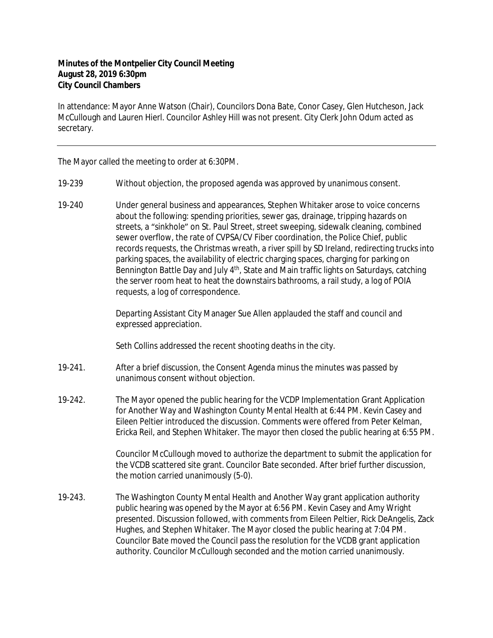## **Minutes of the Montpelier City Council Meeting August 28, 2019 6:30pm City Council Chambers**

In attendance: Mayor Anne Watson (Chair), Councilors Dona Bate, Conor Casey, Glen Hutcheson, Jack McCullough and Lauren Hierl. Councilor Ashley Hill was not present. City Clerk John Odum acted as secretary.

The Mayor called the meeting to order at 6:30PM.

- 19-239 Without objection, the proposed agenda was approved by unanimous consent.
- 19-240 Under general business and appearances, Stephen Whitaker arose to voice concerns about the following: spending priorities, sewer gas, drainage, tripping hazards on streets, a "sinkhole" on St. Paul Street, street sweeping, sidewalk cleaning, combined sewer overflow, the rate of CVPSA/CV Fiber coordination, the Police Chief, public records requests, the Christmas wreath, a river spill by SD Ireland, redirecting trucks into parking spaces, the availability of electric charging spaces, charging for parking on Bennington Battle Day and July 4<sup>th</sup>, State and Main traffic lights on Saturdays, catching the server room heat to heat the downstairs bathrooms, a rail study, a log of POIA requests, a log of correspondence.

Departing Assistant City Manager Sue Allen applauded the staff and council and expressed appreciation.

Seth Collins addressed the recent shooting deaths in the city.

- 19-241. After a brief discussion, the Consent Agenda minus the minutes was passed by unanimous consent without objection.
- 19-242. The Mayor opened the public hearing for the VCDP Implementation Grant Application for Another Way and Washington County Mental Health at 6:44 PM. Kevin Casey and Eileen Peltier introduced the discussion. Comments were offered from Peter Kelman, Ericka Reil, and Stephen Whitaker. The mayor then closed the public hearing at 6:55 PM.

Councilor McCullough moved to authorize the department to submit the application for the VCDB scattered site grant. Councilor Bate seconded. After brief further discussion, the motion carried unanimously (5-0).

19-243. The Washington County Mental Health and Another Way grant application authority public hearing was opened by the Mayor at 6:56 PM. Kevin Casey and Amy Wright presented. Discussion followed, with comments from Eileen Peltier, Rick DeAngelis, Zack Hughes, and Stephen Whitaker. The Mayor closed the public hearing at 7:04 PM. Councilor Bate moved the Council pass the resolution for the VCDB grant application authority. Councilor McCullough seconded and the motion carried unanimously.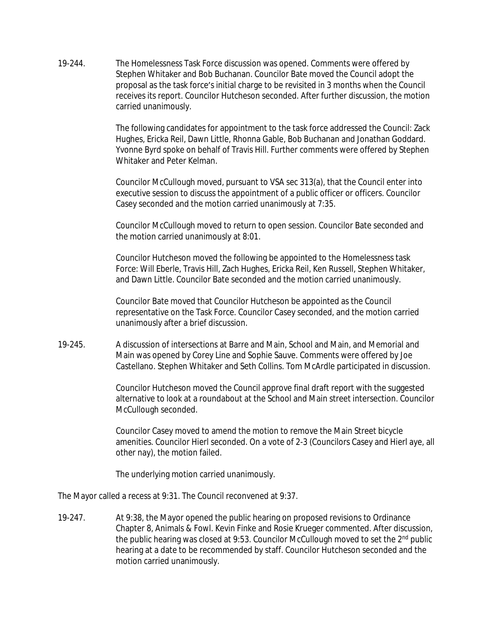19-244. The Homelessness Task Force discussion was opened. Comments were offered by Stephen Whitaker and Bob Buchanan. Councilor Bate moved the Council adopt the proposal as the task force's initial charge to be revisited in 3 months when the Council receives its report. Councilor Hutcheson seconded. After further discussion, the motion carried unanimously.

> The following candidates for appointment to the task force addressed the Council: Zack Hughes, Ericka Reil, Dawn Little, Rhonna Gable, Bob Buchanan and Jonathan Goddard. Yvonne Byrd spoke on behalf of Travis Hill. Further comments were offered by Stephen Whitaker and Peter Kelman.

Councilor McCullough moved, pursuant to VSA sec 313(a), that the Council enter into executive session to discuss the appointment of a public officer or officers. Councilor Casey seconded and the motion carried unanimously at 7:35.

Councilor McCullough moved to return to open session. Councilor Bate seconded and the motion carried unanimously at 8:01.

Councilor Hutcheson moved the following be appointed to the Homelessness task Force: Will Eberle, Travis Hill, Zach Hughes, Ericka Reil, Ken Russell, Stephen Whitaker, and Dawn Little. Councilor Bate seconded and the motion carried unanimously.

Councilor Bate moved that Councilor Hutcheson be appointed as the Council representative on the Task Force. Councilor Casey seconded, and the motion carried unanimously after a brief discussion.

19-245. A discussion of intersections at Barre and Main, School and Main, and Memorial and Main was opened by Corey Line and Sophie Sauve. Comments were offered by Joe Castellano. Stephen Whitaker and Seth Collins. Tom McArdle participated in discussion.

> Councilor Hutcheson moved the Council approve final draft report with the suggested alternative to look at a roundabout at the School and Main street intersection. Councilor McCullough seconded.

> Councilor Casey moved to amend the motion to remove the Main Street bicycle amenities. Councilor Hierl seconded. On a vote of 2-3 (Councilors Casey and Hierl aye, all other nay), the motion failed.

The underlying motion carried unanimously.

The Mayor called a recess at 9:31. The Council reconvened at 9:37.

19-247. At 9:38, the Mayor opened the public hearing on proposed revisions to Ordinance Chapter 8, Animals & Fowl. Kevin Finke and Rosie Krueger commented. After discussion, the public hearing was closed at 9:53. Councilor McCullough moved to set the 2<sup>nd</sup> public hearing at a date to be recommended by staff. Councilor Hutcheson seconded and the motion carried unanimously.